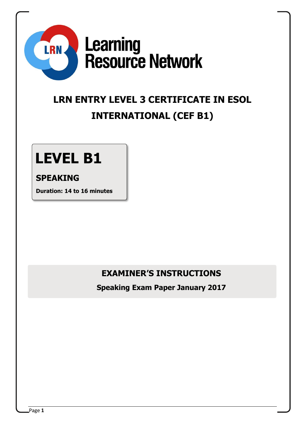

## **LRN ENTRY LEVEL 3 CERTIFICATE IN ESOL INTERNATIONAL (CEF B1)**

# **LEVEL B1**

### **SPEAKING**

**Duration: 14 to 16 minutes**

## **EXAMINER'S INSTRUCTIONS**

**Speaking Exam Paper January 2017**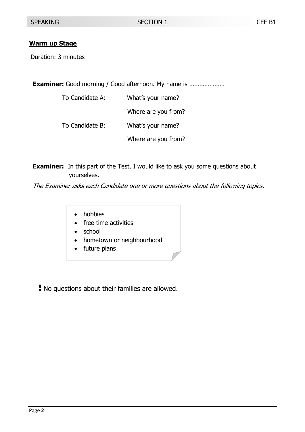#### **Warm up Stage**

Duration: 3 minutes

**Examiner:** Good morning / Good afternoon. My name is ...........................

| To Candidate A: | What's your name?   |
|-----------------|---------------------|
|                 | Where are you from? |
| To Candidate B: | What's your name?   |
|                 | Where are you from? |

**Examiner:** In this part of the Test, I would like to ask you some questions about yourselves.

The Examiner asks each Candidate one or more questions about the following topics.

- hobbies
- free time activities
- school
- hometown or neighbourhood
- future plans
- No questions about their families are allowed.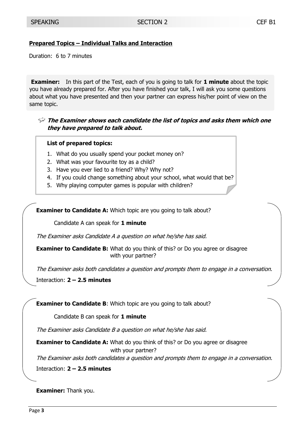#### **Prepared Topics – Individual Talks and Interaction**

Duration: 6 to 7 minutes

**Examiner:** In this part of the Test, each of you is going to talk for **1 minute** about the topic you have already prepared for. After you have finished your talk, I will ask you some questions about what you have presented and then your partner can express his/her point of view on the same topic.

**The Examiner shows each candidate the list of topics and asks them which one they have prepared to talk about.**

#### **List of prepared topics:**

- 1. What do you usually spend your pocket money on?
- 2. What was your favourite toy as a child?
- 3. Have you ever lied to a friend? Why? Why not?
- 4. If you could change something about your school, what would that be?
- 5. Why playing computer games is popular with children?

**Examiner to Candidate A:** Which topic are you going to talk about?

Candidate A can speak for **1 minute**

The Examiner asks Candidate A a question on what he/she has said.

**Examiner to Candidate B:** What do you think of this? or Do you agree or disagree with your partner?

The Examiner asks both candidates a question and prompts them to engage in a conversation.

Interaction: **2 – 2.5 minutes**

**Examiner to Candidate B:** Which topic are you going to talk about?

Candidate B can speak for **1 minute**

The Examiner asks Candidate B a question on what he/she has said.

**Examiner to Candidate A:** What do you think of this? or Do you agree or disagree with your partner?

The Examiner asks both candidates a question and prompts them to engage in a conversation.

Interaction: **2 – 2.5 minutes**

**Examiner:** Thank you.